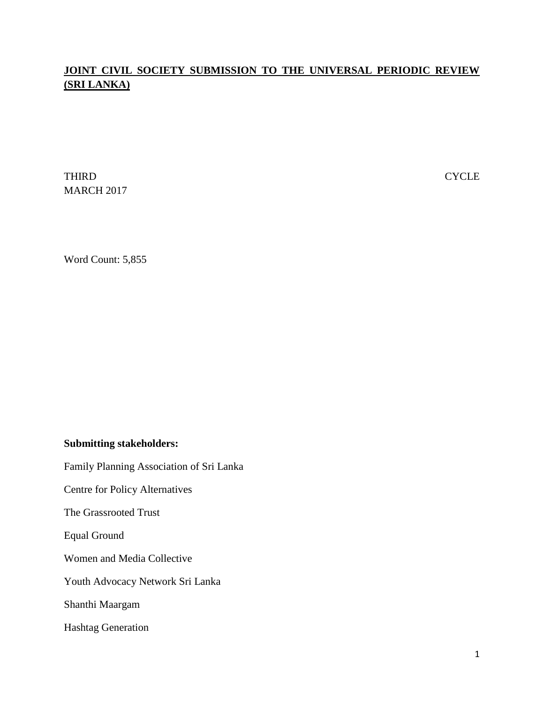# **JOINT CIVIL SOCIETY SUBMISSION TO THE UNIVERSAL PERIODIC REVIEW (SRI LANKA)**

THIRD CYCLE MARCH 2017

Word Count: 5,855

### **Submitting stakeholders:**

Family Planning Association of Sri Lanka

Centre for Policy Alternatives

The Grassrooted Trust

Equal Ground

Women and Media Collective

Youth Advocacy Network Sri Lanka

Shanthi Maargam

Hashtag Generation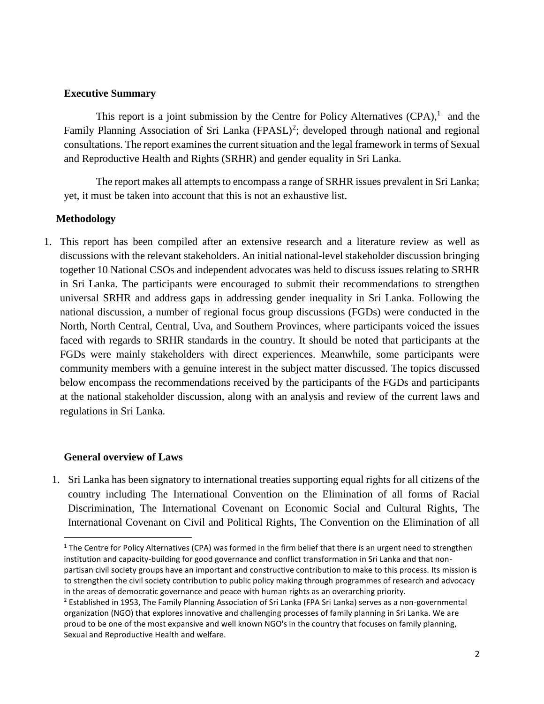#### **Executive Summary**

This report is a joint submission by the Centre for Policy Alternatives  $(CPA)$ ,<sup>1</sup> and the Family Planning Association of Sri Lanka (FPASL)<sup>2</sup>; developed through national and regional consultations. The report examines the current situation and the legal framework in terms of Sexual and Reproductive Health and Rights (SRHR) and gender equality in Sri Lanka.

The report makes all attempts to encompass a range of SRHR issues prevalent in Sri Lanka; yet, it must be taken into account that this is not an exhaustive list.

#### **Methodology**

1. This report has been compiled after an extensive research and a literature review as well as discussions with the relevant stakeholders. An initial national-level stakeholder discussion bringing together 10 National CSOs and independent advocates was held to discuss issues relating to SRHR in Sri Lanka. The participants were encouraged to submit their recommendations to strengthen universal SRHR and address gaps in addressing gender inequality in Sri Lanka. Following the national discussion, a number of regional focus group discussions (FGDs) were conducted in the North, North Central, Central, Uva, and Southern Provinces, where participants voiced the issues faced with regards to SRHR standards in the country. It should be noted that participants at the FGDs were mainly stakeholders with direct experiences. Meanwhile, some participants were community members with a genuine interest in the subject matter discussed. The topics discussed below encompass the recommendations received by the participants of the FGDs and participants at the national stakeholder discussion, along with an analysis and review of the current laws and regulations in Sri Lanka.

#### **General overview of Laws**

 $\overline{\phantom{a}}$ 

1. Sri Lanka has been signatory to international treaties supporting equal rights for all citizens of the country including The International Convention on the Elimination of all forms of Racial Discrimination, The International Covenant on Economic Social and Cultural Rights, The International Covenant on Civil and Political Rights, The Convention on the Elimination of all

 $1$  The Centre for Policy Alternatives (CPA) was formed in the firm belief that there is an urgent need to strengthen institution and capacity-building for good governance and conflict transformation in Sri Lanka and that nonpartisan civil society groups have an important and constructive contribution to make to this process. Its mission is to strengthen the civil society contribution to public policy making through programmes of research and advocacy in the areas of democratic governance and peace with human rights as an overarching priority.

 $<sup>2</sup>$  Established in 1953, The Family Planning Association of Sri Lanka (FPA Sri Lanka) serves as a non-governmental</sup> organization (NGO) that explores innovative and challenging processes of family planning in Sri Lanka. We are proud to be one of the most expansive and well known NGO's in the country that focuses on family planning, Sexual and Reproductive Health and welfare.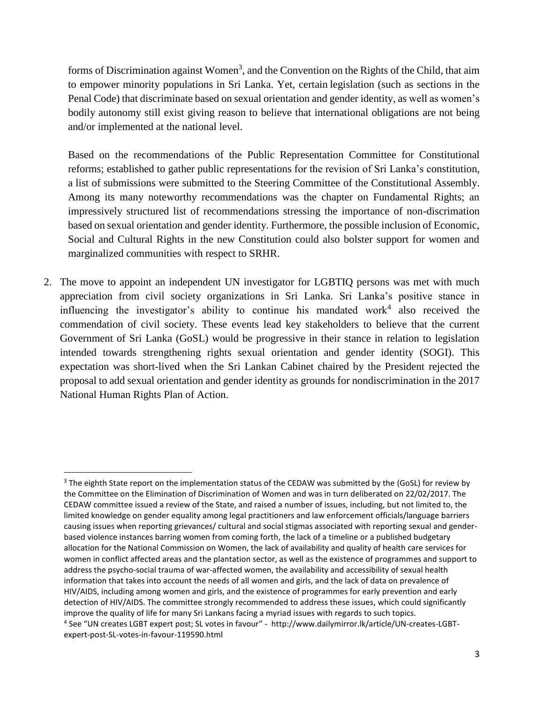forms of Discrimination against Women<sup>3</sup>, and the Convention on the Rights of the Child, that aim to empower minority populations in Sri Lanka. Yet, certain legislation (such as sections in the Penal Code) that discriminate based on sexual orientation and gender identity, as well as women's bodily autonomy still exist giving reason to believe that international obligations are not being and/or implemented at the national level.

Based on the recommendations of the Public Representation Committee for Constitutional reforms; established to gather public representations for the revision of Sri Lanka's constitution, a list of submissions were submitted to the Steering Committee of the Constitutional Assembly. Among its many noteworthy recommendations was the chapter on Fundamental Rights; an impressively structured list of recommendations stressing the importance of non-discrimation based on sexual orientation and gender identity. Furthermore, the possible inclusion of Economic, Social and Cultural Rights in the new Constitution could also bolster support for women and marginalized communities with respect to SRHR.

2. The move to appoint an independent UN investigator for LGBTIQ persons was met with much appreciation from civil society organizations in Sri Lanka. Sri Lanka's positive stance in influencing the investigator's ability to continue his mandated work<sup>4</sup> also received the commendation of civil society. These events lead key stakeholders to believe that the current Government of Sri Lanka (GoSL) would be progressive in their stance in relation to legislation intended towards strengthening rights sexual orientation and gender identity (SOGI). This expectation was short-lived when the Sri Lankan Cabinet chaired by the President rejected the proposal to add sexual orientation and gender identity as grounds for nondiscrimination in the 2017 National Human Rights Plan of Action.

<sup>&</sup>lt;sup>3</sup> The eighth State report on the implementation status of the CEDAW was submitted by the (GoSL) for review by the Committee on the Elimination of Discrimination of Women and was in turn deliberated on 22/02/2017. The CEDAW committee issued a review of the State, and raised a number of issues, including, but not limited to, the limited knowledge on gender equality among legal practitioners and law enforcement officials/language barriers causing issues when reporting grievances/ cultural and social stigmas associated with reporting sexual and genderbased violence instances barring women from coming forth, the lack of a timeline or a published budgetary allocation for the National Commission on Women, the lack of availability and quality of health care services for women in conflict affected areas and the plantation sector, as well as the existence of programmes and support to address the psycho-social trauma of war-affected women, the availability and accessibility of sexual health information that takes into account the needs of all women and girls, and the lack of data on prevalence of HIV/AIDS, including among women and girls, and the existence of programmes for early prevention and early detection of HIV/AIDS. The committee strongly recommended to address these issues, which could significantly improve the quality of life for many Sri Lankans facing a myriad issues with regards to such topics. 4 See "UN creates LGBT expert post; SL votes in favour" - http://www.dailymirror.lk/article/UN-creates-LGBTexpert-post-SL-votes-in-favour-119590.html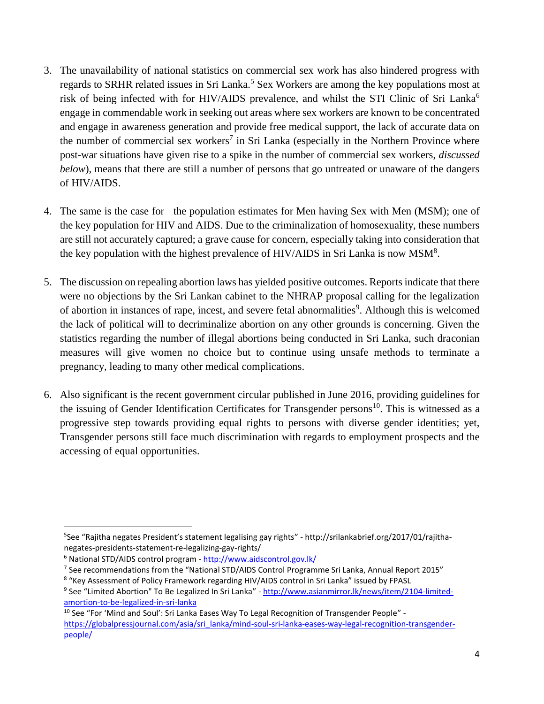- 3. The unavailability of national statistics on commercial sex work has also hindered progress with regards to SRHR related issues in Sri Lanka.<sup>5</sup> Sex Workers are among the key populations most at risk of being infected with for HIV/AIDS prevalence, and whilst the STI Clinic of Sri Lanka<sup>6</sup> engage in commendable work in seeking out areas where sex workers are known to be concentrated and engage in awareness generation and provide free medical support, the lack of accurate data on the number of commercial sex workers<sup>7</sup> in Sri Lanka (especially in the Northern Province where post-war situations have given rise to a spike in the number of commercial sex workers, *discussed below*), means that there are still a number of persons that go untreated or unaware of the dangers of HIV/AIDS.
- 4. The same is the case for the population estimates for Men having Sex with Men (MSM); one of the key population for HIV and AIDS. Due to the criminalization of homosexuality, these numbers are still not accurately captured; a grave cause for concern, especially taking into consideration that the key population with the highest prevalence of HIV/AIDS in Sri Lanka is now  $MSM<sup>8</sup>$ .
- 5. The discussion on repealing abortion laws has yielded positive outcomes. Reports indicate that there were no objections by the Sri Lankan cabinet to the NHRAP proposal calling for the legalization of abortion in instances of rape, incest, and severe fetal abnormalities<sup>9</sup>. Although this is welcomed the lack of political will to decriminalize abortion on any other grounds is concerning. Given the statistics regarding the number of illegal abortions being conducted in Sri Lanka, such draconian measures will give women no choice but to continue using unsafe methods to terminate a pregnancy, leading to many other medical complications.
- 6. Also significant is the recent government circular published in June 2016, providing guidelines for the issuing of Gender Identification Certificates for Transgender persons<sup>10</sup>. This is witnessed as a progressive step towards providing equal rights to persons with diverse gender identities; yet, Transgender persons still face much discrimination with regards to employment prospects and the accessing of equal opportunities.

 $\overline{a}$ <sup>5</sup>See "Rajitha negates President's statement legalising gay rights" - http://srilankabrief.org/2017/01/rajithanegates-presidents-statement-re-legalizing-gay-rights/

<sup>6</sup> National STD/AIDS control program - <http://www.aidscontrol.gov.lk/>

<sup>&</sup>lt;sup>7</sup> See recommendations from the "National STD/AIDS Control Programme Sri Lanka, Annual Report 2015"

<sup>8</sup> "Key Assessment of Policy Framework regarding HIV/AIDS control in Sri Lanka" issued by FPASL

<sup>&</sup>lt;sup>9</sup> See "Limited Abortion" To Be Legalized In Sri Lanka" - <u>http://www.asianmirror.lk/news/item/2104-limited-</u> [amortion-to-be-legalized-in-sri-lanka](http://www.asianmirror.lk/news/item/2104-limited-amortion-to-be-legalized-in-sri-lanka)

<sup>&</sup>lt;sup>10</sup> See "For 'Mind and Soul': Sri Lanka Eases Way To Legal Recognition of Transgender People" [https://globalpressjournal.com/asia/sri\\_lanka/mind-soul-sri-lanka-eases-way-legal-recognition-transgender](https://globalpressjournal.com/asia/sri_lanka/mind-soul-sri-lanka-eases-way-legal-recognition-transgender-people/)[people/](https://globalpressjournal.com/asia/sri_lanka/mind-soul-sri-lanka-eases-way-legal-recognition-transgender-people/)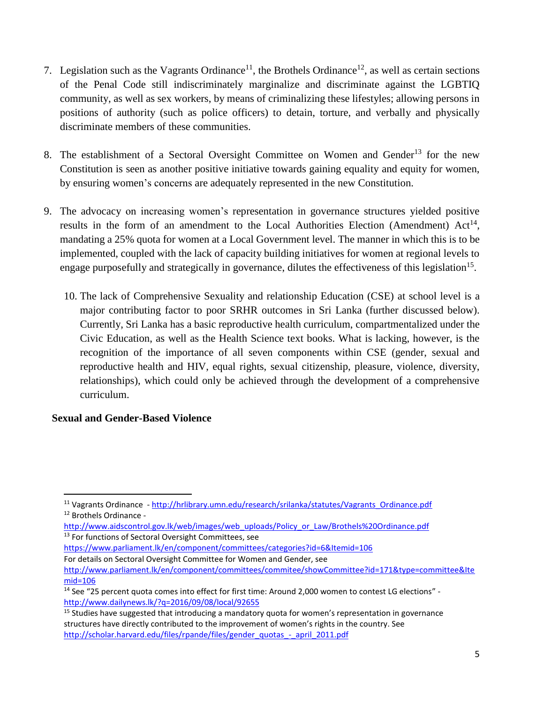- 7. Legislation such as the Vagrants Ordinance<sup>11</sup>, the Brothels Ordinance<sup>12</sup>, as well as certain sections of the Penal Code still indiscriminately marginalize and discriminate against the LGBTIQ community, as well as sex workers, by means of criminalizing these lifestyles; allowing persons in positions of authority (such as police officers) to detain, torture, and verbally and physically discriminate members of these communities.
- 8. The establishment of a Sectoral Oversight Committee on Women and Gender<sup>13</sup> for the new Constitution is seen as another positive initiative towards gaining equality and equity for women, by ensuring women's concerns are adequately represented in the new Constitution.
- 9. The advocacy on increasing women's representation in governance structures yielded positive results in the form of an amendment to the Local Authorities Election (Amendment)  $Act^{14}$ , mandating a 25% quota for women at a Local Government level. The manner in which this is to be implemented, coupled with the lack of capacity building initiatives for women at regional levels to engage purposefully and strategically in governance, dilutes the effectiveness of this legislation<sup>15</sup>.
	- 10. The lack of Comprehensive Sexuality and relationship Education (CSE) at school level is a major contributing factor to poor SRHR outcomes in Sri Lanka (further discussed below). Currently, Sri Lanka has a basic reproductive health curriculum, compartmentalized under the Civic Education, as well as the Health Science text books. What is lacking, however, is the recognition of the importance of all seven components within CSE (gender, sexual and reproductive health and HIV, equal rights, sexual citizenship, pleasure, violence, diversity, relationships), which could only be achieved through the development of a comprehensive curriculum.

### **Sexual and Gender-Based Violence**

- <https://www.parliament.lk/en/component/committees/categories?id=6&Itemid=106>
- For details on Sectoral Oversight Committee for Women and Gender, see

<sup>&</sup>lt;sup>11</sup> Vagrants Ordinance - [http://hrlibrary.umn.edu/research/srilanka/statutes/Vagrants\\_Ordinance.pdf](http://hrlibrary.umn.edu/research/srilanka/statutes/Vagrants_Ordinance.pdf) <sup>12</sup> Brothels Ordinance -

[http://www.aidscontrol.gov.lk/web/images/web\\_uploads/Policy\\_or\\_Law/Brothels%20Ordinance.pdf](http://www.aidscontrol.gov.lk/web/images/web_uploads/Policy_or_Law/Brothels%20Ordinance.pdf) <sup>13</sup> For functions of Sectoral Oversight Committees, see

[http://www.parliament.lk/en/component/committees/commitee/showCommittee?id=171&type=committee&Ite](http://www.parliament.lk/en/component/committees/commitee/showCommittee?id=171&type=committee&Itemid=106) [mid=106](http://www.parliament.lk/en/component/committees/commitee/showCommittee?id=171&type=committee&Itemid=106)

<sup>&</sup>lt;sup>14</sup> See "25 percent quota comes into effect for first time: Around 2,000 women to contest LG elections" <http://www.dailynews.lk/?q=2016/09/08/local/92655>

<sup>&</sup>lt;sup>15</sup> Studies have suggested that introducing a mandatory quota for women's representation in governance structures have directly contributed to the improvement of women's rights in the country. See [http://scholar.harvard.edu/files/rpande/files/gender\\_quotas\\_-\\_april\\_2011.pdf](http://scholar.harvard.edu/files/rpande/files/gender_quotas_-_april_2011.pdf)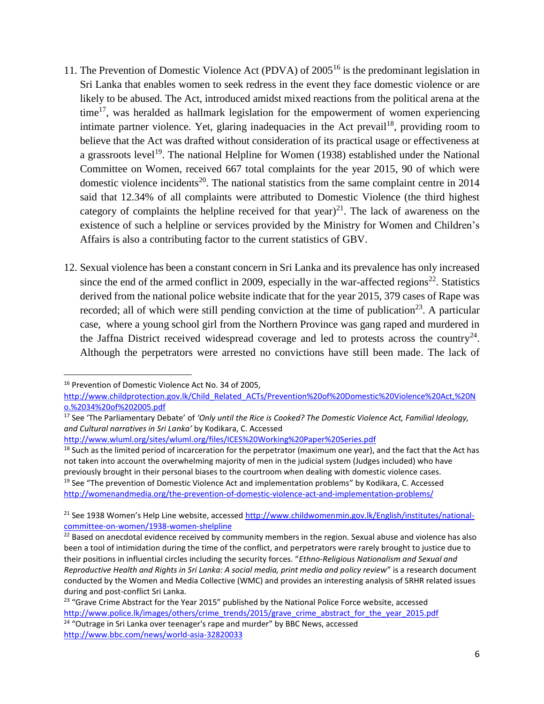- 11. The Prevention of Domestic Violence Act (PDVA) of 2005<sup>16</sup> is the predominant legislation in Sri Lanka that enables women to seek redress in the event they face domestic violence or are likely to be abused. The Act, introduced amidst mixed reactions from the political arena at the time<sup>17</sup>, was heralded as hallmark legislation for the empowerment of women experiencing intimate partner violence. Yet, glaring inadequacies in the Act prevail<sup>18</sup>, providing room to believe that the Act was drafted without consideration of its practical usage or effectiveness at a grassroots level<sup>19</sup>. The national Helpline for Women (1938) established under the National Committee on Women, received 667 total complaints for the year 2015, 90 of which were domestic violence incidents<sup>20</sup>. The national statistics from the same complaint centre in  $2014$ said that 12.34% of all complaints were attributed to Domestic Violence (the third highest category of complaints the helpline received for that year) $^{21}$ . The lack of awareness on the existence of such a helpline or services provided by the Ministry for Women and Children's Affairs is also a contributing factor to the current statistics of GBV.
- 12. Sexual violence has been a constant concern in Sri Lanka and its prevalence has only increased since the end of the armed conflict in 2009, especially in the war-affected regions<sup>22</sup>. Statistics derived from the national police website indicate that for the year 2015, 379 cases of Rape was recorded; all of which were still pending conviction at the time of publication<sup>23</sup>. A particular case, where a young school girl from the Northern Province was gang raped and murdered in the Jaffna District received widespread coverage and led to protests across the country<sup>24</sup>. Although the perpetrators were arrested no convictions have still been made. The lack of

l

<http://www.wluml.org/sites/wluml.org/files/ICES%20Working%20Paper%20Series.pdf>

<sup>16</sup> Prevention of Domestic Violence Act No. 34 of 2005,

[http://www.childprotection.gov.lk/Child\\_Related\\_ACTs/Prevention%20of%20Domestic%20Violence%20Act,%20N](http://www.childprotection.gov.lk/Child_Related_ACTs/Prevention%20of%20Domestic%20Violence%20Act,%20No.%2034%20of%202005.pdf) [o.%2034%20of%202005.pdf](http://www.childprotection.gov.lk/Child_Related_ACTs/Prevention%20of%20Domestic%20Violence%20Act,%20No.%2034%20of%202005.pdf)

<sup>17</sup> See 'The Parliamentary Debate' of *'Only until the Rice is Cooked? The Domestic Violence Act, Familial Ideology, and Cultural narratives in Sri Lanka'* by Kodikara, C. Accessed

<sup>&</sup>lt;sup>18</sup> Such as the limited period of incarceration for the perpetrator (maximum one year), and the fact that the Act has not taken into account the overwhelming majority of men in the judicial system (Judges included) who have previously brought in their personal biases to the courtroom when dealing with domestic violence cases. <sup>19</sup> See "The prevention of Domestic Violence Act and implementation problems" by Kodikara, C. Accessed <http://womenandmedia.org/the-prevention-of-domestic-violence-act-and-implementation-problems/>

<sup>&</sup>lt;sup>21</sup> See 1938 Women's Help Line website, accessed [http://www.childwomenmin.gov.lk/English/institutes/national](http://www.childwomenmin.gov.lk/English/institutes/national-committee-on-women/1938-women-shelpline)[committee-on-women/1938-women-shelpline](http://www.childwomenmin.gov.lk/English/institutes/national-committee-on-women/1938-women-shelpline)

<sup>&</sup>lt;sup>22</sup> Based on anecdotal evidence received by community members in the region. Sexual abuse and violence has also been a tool of intimidation during the time of the conflict, and perpetrators were rarely brought to justice due to their positions in influential circles including the security forces. "*Ethno-Religious Nationalism and Sexual and Reproductive Health and Rights in Sri Lanka: A social media, print media and policy review*" is a research document conducted by the Women and Media Collective (WMC) and provides an interesting analysis of SRHR related issues during and post-conflict Sri Lanka.

<sup>&</sup>lt;sup>23</sup> "Grave Crime Abstract for the Year 2015" published by the National Police Force website, accessed [http://www.police.lk/images/others/crime\\_trends/2015/grave\\_crime\\_abstract\\_for\\_the\\_year\\_2015.pdf](http://www.police.lk/images/others/crime_trends/2015/grave_crime_abstract_for_the_year_2015.pdf) <sup>24</sup> "Outrage in Sri Lanka over teenager's rape and murder" by BBC News, accessed <http://www.bbc.com/news/world-asia-32820033>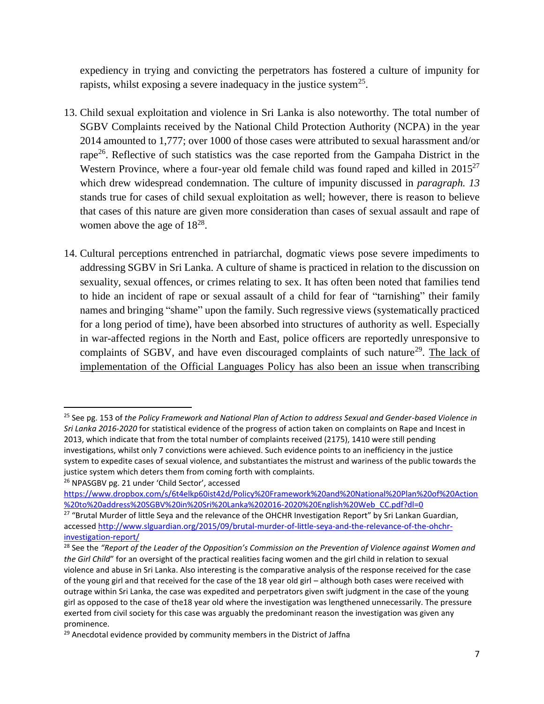expediency in trying and convicting the perpetrators has fostered a culture of impunity for rapists, whilst exposing a severe inadequacy in the justice system<sup>25</sup>.

- 13. Child sexual exploitation and violence in Sri Lanka is also noteworthy. The total number of SGBV Complaints received by the National Child Protection Authority (NCPA) in the year 2014 amounted to 1,777; over 1000 of those cases were attributed to sexual harassment and/or rape<sup>26</sup>. Reflective of such statistics was the case reported from the Gampaha District in the Western Province, where a four-year old female child was found raped and killed in  $2015^{27}$ which drew widespread condemnation. The culture of impunity discussed in *paragraph. 13* stands true for cases of child sexual exploitation as well; however, there is reason to believe that cases of this nature are given more consideration than cases of sexual assault and rape of women above the age of  $18^{28}$ .
- 14. Cultural perceptions entrenched in patriarchal, dogmatic views pose severe impediments to addressing SGBV in Sri Lanka. A culture of shame is practiced in relation to the discussion on sexuality, sexual offences, or crimes relating to sex. It has often been noted that families tend to hide an incident of rape or sexual assault of a child for fear of "tarnishing" their family names and bringing "shame" upon the family. Such regressive views (systematically practiced for a long period of time), have been absorbed into structures of authority as well. Especially in war-affected regions in the North and East, police officers are reportedly unresponsive to complaints of SGBV, and have even discouraged complaints of such nature<sup>29</sup>. The lack of implementation of the Official Languages Policy has also been an issue when transcribing

<sup>25</sup> See pg. 153 of *the Policy Framework and National Plan of Action to address Sexual and Gender-based Violence in Sri Lanka 2016-2020* for statistical evidence of the progress of action taken on complaints on Rape and Incest in 2013, which indicate that from the total number of complaints received (2175), 1410 were still pending investigations, whilst only 7 convictions were achieved. Such evidence points to an inefficiency in the justice system to expedite cases of sexual violence, and substantiates the mistrust and wariness of the public towards the justice system which deters them from coming forth with complaints. <sup>26</sup> NPASGBV pg. 21 under 'Child Sector', accessed

[https://www.dropbox.com/s/6t4elkp60ist42d/Policy%20Framework%20and%20National%20Plan%20of%20Action](https://www.dropbox.com/s/6t4elkp60ist42d/Policy%20Framework%20and%20National%20Plan%20of%20Action%20to%20address%20SGBV%20in%20Sri%20Lanka%202016-2020%20English%20Web_CC.pdf?dl=0) [%20to%20address%20SGBV%20in%20Sri%20Lanka%202016-2020%20English%20Web\\_CC.pdf?dl=0](https://www.dropbox.com/s/6t4elkp60ist42d/Policy%20Framework%20and%20National%20Plan%20of%20Action%20to%20address%20SGBV%20in%20Sri%20Lanka%202016-2020%20English%20Web_CC.pdf?dl=0)

<sup>&</sup>lt;sup>27</sup> "Brutal Murder of little Seya and the relevance of the OHCHR Investigation Report" by Sri Lankan Guardian, accesse[d http://www.slguardian.org/2015/09/brutal-murder-of-little-seya-and-the-relevance-of-the-ohchr](http://www.slguardian.org/2015/09/brutal-murder-of-little-seya-and-the-relevance-of-the-ohchr-investigation-report/)[investigation-report/](http://www.slguardian.org/2015/09/brutal-murder-of-little-seya-and-the-relevance-of-the-ohchr-investigation-report/)

<sup>28</sup> See the *"Report of the Leader of the Opposition's Commission on the Prevention of Violence against Women and the Girl Child*" for an oversight of the practical realities facing women and the girl child in relation to sexual violence and abuse in Sri Lanka. Also interesting is the comparative analysis of the response received for the case of the young girl and that received for the case of the 18 year old girl – although both cases were received with outrage within Sri Lanka, the case was expedited and perpetrators given swift judgment in the case of the young girl as opposed to the case of the18 year old where the investigation was lengthened unnecessarily. The pressure exerted from civil society for this case was arguably the predominant reason the investigation was given any prominence.

<sup>&</sup>lt;sup>29</sup> Anecdotal evidence provided by community members in the District of Jaffna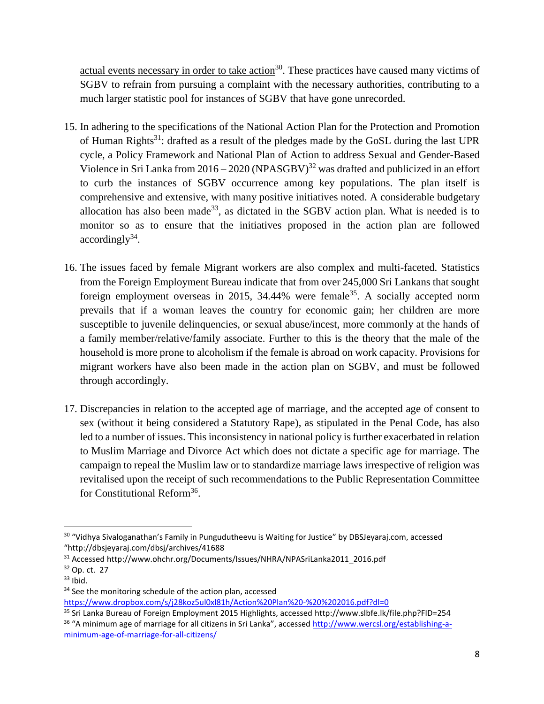actual events necessary in order to take action<sup>30</sup>. These practices have caused many victims of SGBV to refrain from pursuing a complaint with the necessary authorities, contributing to a much larger statistic pool for instances of SGBV that have gone unrecorded.

- 15. In adhering to the specifications of the National Action Plan for the Protection and Promotion of Human Rights<sup>31</sup>: drafted as a result of the pledges made by the GoSL during the last UPR cycle, a Policy Framework and National Plan of Action to address Sexual and Gender-Based Violence in Sri Lanka from  $2016 - 2020$  (NPASGBV)<sup>32</sup> was drafted and publicized in an effort to curb the instances of SGBV occurrence among key populations. The plan itself is comprehensive and extensive, with many positive initiatives noted. A considerable budgetary allocation has also been made<sup>33</sup>, as dictated in the SGBV action plan. What is needed is to monitor so as to ensure that the initiatives proposed in the action plan are followed  $accordingly<sup>34</sup>$ .
- 16. The issues faced by female Migrant workers are also complex and multi-faceted. Statistics from the Foreign Employment Bureau indicate that from over 245,000 Sri Lankans that sought foreign employment overseas in 2015, 34.44% were female<sup>35</sup>. A socially accepted norm prevails that if a woman leaves the country for economic gain; her children are more susceptible to juvenile delinquencies, or sexual abuse/incest, more commonly at the hands of a family member/relative/family associate. Further to this is the theory that the male of the household is more prone to alcoholism if the female is abroad on work capacity. Provisions for migrant workers have also been made in the action plan on SGBV, and must be followed through accordingly.
- 17. Discrepancies in relation to the accepted age of marriage, and the accepted age of consent to sex (without it being considered a Statutory Rape), as stipulated in the Penal Code, has also led to a number of issues. This inconsistency in national policy is further exacerbated in relation to Muslim Marriage and Divorce Act which does not dictate a specific age for marriage. The campaign to repeal the Muslim law or to standardize marriage laws irrespective of religion was revitalised upon the receipt of such recommendations to the Public Representation Committee for Constitutional Reform<sup>36</sup>.

 $\overline{a}$ 

<https://www.dropbox.com/s/j28koz5ul0xl81h/Action%20Plan%20-%20%202016.pdf?dl=0>

<sup>&</sup>lt;sup>30</sup> "Vidhya Sivaloganathan's Family in Pungudutheevu is Waiting for Justice" by DBSJeyaraj.com, accessed "http://dbsjeyaraj.com/dbsj/archives/41688

<sup>&</sup>lt;sup>31</sup> Accessed http://www.ohchr.org/Documents/Issues/NHRA/NPASriLanka2011\_2016.pdf

<sup>32</sup> Op. ct. 27

 $33$  Ibid.

<sup>&</sup>lt;sup>34</sup> See the monitoring schedule of the action plan, accessed

<sup>35</sup> Sri Lanka Bureau of Foreign Employment 2015 Highlights, accessed http://www.slbfe.lk/file.php?FID=254 <sup>36</sup> "A minimum age of marriage for all citizens in Sri Lanka", accessed [http://www.wercsl.org/establishing-a](http://www.wercsl.org/establishing-a-minimum-age-of-marriage-for-all-citizens/)[minimum-age-of-marriage-for-all-citizens/](http://www.wercsl.org/establishing-a-minimum-age-of-marriage-for-all-citizens/)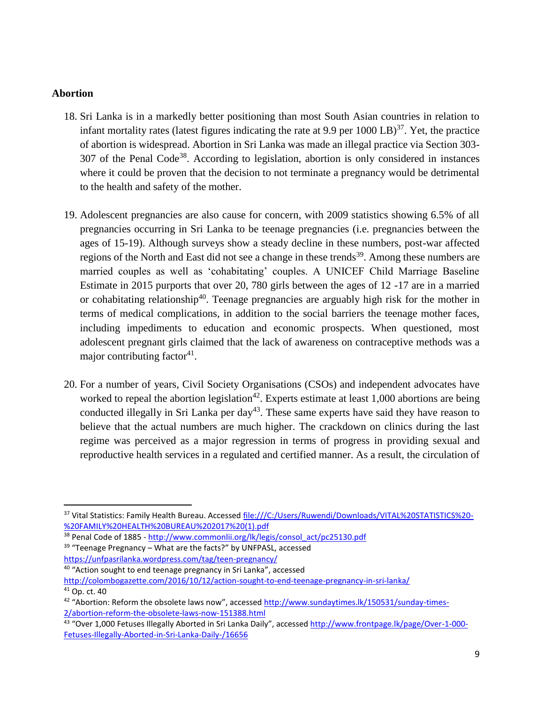#### **Abortion**

- 18. Sri Lanka is in a markedly better positioning than most South Asian countries in relation to infant mortality rates (latest figures indicating the rate at 9.9 per  $1000 \text{ LB}$ )<sup>37</sup>. Yet, the practice of abortion is widespread. Abortion in Sri Lanka was made an illegal practice via Section 303-  $307$  of the Penal Code<sup>38</sup>. According to legislation, abortion is only considered in instances where it could be proven that the decision to not terminate a pregnancy would be detrimental to the health and safety of the mother.
- 19. Adolescent pregnancies are also cause for concern, with 2009 statistics showing 6.5% of all pregnancies occurring in Sri Lanka to be teenage pregnancies (i.e. pregnancies between the ages of 15-19). Although surveys show a steady decline in these numbers, post-war affected regions of the North and East did not see a change in these trends<sup>39</sup>. Among these numbers are married couples as well as 'cohabitating' couples. A UNICEF Child Marriage Baseline Estimate in 2015 purports that over 20, 780 girls between the ages of 12 -17 are in a married or cohabitating relationship<sup>40</sup>. Teenage pregnancies are arguably high risk for the mother in terms of medical complications, in addition to the social barriers the teenage mother faces, including impediments to education and economic prospects. When questioned, most adolescent pregnant girls claimed that the lack of awareness on contraceptive methods was a major contributing factor<sup>41</sup>.
- 20. For a number of years, Civil Society Organisations (CSOs) and independent advocates have worked to repeal the abortion legislation<sup>42</sup>. Experts estimate at least 1,000 abortions are being conducted illegally in Sri Lanka per day<sup>43</sup>. These same experts have said they have reason to believe that the actual numbers are much higher. The crackdown on clinics during the last regime was perceived as a major regression in terms of progress in providing sexual and reproductive health services in a regulated and certified manner. As a result, the circulation of

<sup>40</sup> "Action sought to end teenage pregnancy in Sri Lanka", accessed <http://colombogazette.com/2016/10/12/action-sought-to-end-teenage-pregnancy-in-sri-lanka/>

<sup>37</sup> Vital Statistics: Family Health Bureau. Accessed [file:///C:/Users/Ruwendi/Downloads/VITAL%20STATISTICS%20-](file:///C:/Users/Ruwendi/Downloads/VITAL%20STATISTICS%20-%20FAMILY%20HEALTH%20BUREAU%202017%20(1).pdf) [%20FAMILY%20HEALTH%20BUREAU%202017%20\(1\).pdf](file:///C:/Users/Ruwendi/Downloads/VITAL%20STATISTICS%20-%20FAMILY%20HEALTH%20BUREAU%202017%20(1).pdf)

<sup>&</sup>lt;sup>38</sup> Penal Code of 1885 - [http://www.commonlii.org/lk/legis/consol\\_act/pc25130.pdf](http://www.commonlii.org/lk/legis/consol_act/pc25130.pdf)

<sup>&</sup>lt;sup>39</sup> "Teenage Pregnancy – What are the facts?" by UNFPASL, accessed

<https://unfpasrilanka.wordpress.com/tag/teen-pregnancy/>

<sup>41</sup> Op. ct. 40

<sup>&</sup>lt;sup>42</sup> "Abortion: Reform the obsolete laws now", accessed <u>http://www.sundaytimes.lk/150531/sunday-times-</u> [2/abortion-reform-the-obsolete-laws-now-151388.html](http://www.sundaytimes.lk/150531/sunday-times-2/abortion-reform-the-obsolete-laws-now-151388.html)

<sup>&</sup>lt;sup>43</sup> "Over 1,000 Fetuses Illegally Aborted in Sri Lanka Daily", accessed <u>[http://www.frontpage.lk/page/Over-1-000-](http://www.frontpage.lk/page/Over-1-000-Fetuses-Illegally-Aborted-in-Sri-Lanka-Daily-/16656)</u> [Fetuses-Illegally-Aborted-in-Sri-Lanka-Daily-/16656](http://www.frontpage.lk/page/Over-1-000-Fetuses-Illegally-Aborted-in-Sri-Lanka-Daily-/16656)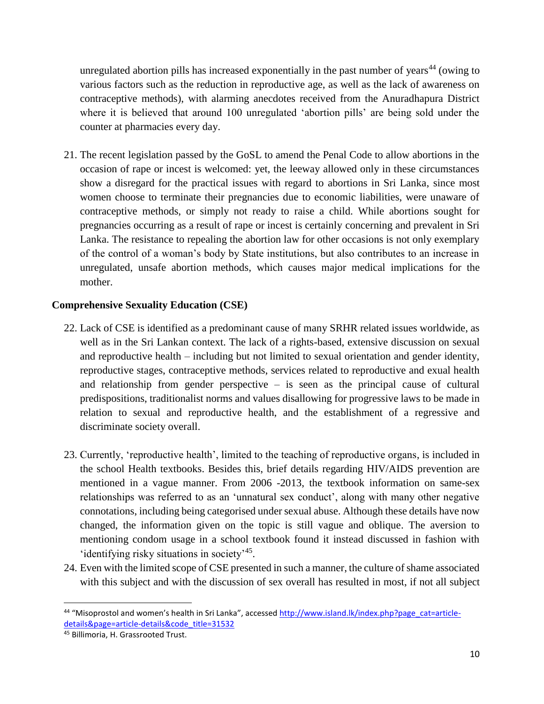unregulated abortion pills has increased exponentially in the past number of years<sup>44</sup> (owing to various factors such as the reduction in reproductive age, as well as the lack of awareness on contraceptive methods), with alarming anecdotes received from the Anuradhapura District where it is believed that around 100 unregulated 'abortion pills' are being sold under the counter at pharmacies every day.

21. The recent legislation passed by the GoSL to amend the Penal Code to allow abortions in the occasion of rape or incest is welcomed: yet, the leeway allowed only in these circumstances show a disregard for the practical issues with regard to abortions in Sri Lanka, since most women choose to terminate their pregnancies due to economic liabilities, were unaware of contraceptive methods, or simply not ready to raise a child. While abortions sought for pregnancies occurring as a result of rape or incest is certainly concerning and prevalent in Sri Lanka. The resistance to repealing the abortion law for other occasions is not only exemplary of the control of a woman's body by State institutions, but also contributes to an increase in unregulated, unsafe abortion methods, which causes major medical implications for the mother.

## **Comprehensive Sexuality Education (CSE)**

- 22. Lack of CSE is identified as a predominant cause of many SRHR related issues worldwide, as well as in the Sri Lankan context. The lack of a rights-based, extensive discussion on sexual and reproductive health – including but not limited to sexual orientation and gender identity, reproductive stages, contraceptive methods, services related to reproductive and exual health and relationship from gender perspective – is seen as the principal cause of cultural predispositions, traditionalist norms and values disallowing for progressive laws to be made in relation to sexual and reproductive health, and the establishment of a regressive and discriminate society overall.
- 23. Currently, 'reproductive health', limited to the teaching of reproductive organs, is included in the school Health textbooks. Besides this, brief details regarding HIV/AIDS prevention are mentioned in a vague manner. From 2006 -2013, the textbook information on same-sex relationships was referred to as an 'unnatural sex conduct', along with many other negative connotations, including being categorised under sexual abuse. Although these details have now changed, the information given on the topic is still vague and oblique. The aversion to mentioning condom usage in a school textbook found it instead discussed in fashion with 'identifying risky situations in society<sup>'45</sup>.
- 24. Even with the limited scope of CSE presented in such a manner, the culture of shame associated with this subject and with the discussion of sex overall has resulted in most, if not all subject

<sup>&</sup>lt;sup>44</sup> "Misoprostol and women's health in Sri Lanka", accessed [http://www.island.lk/index.php?page\\_cat=article](http://www.island.lk/index.php?page_cat=article-details&page=article-details&code_title=31532)[details&page=article-details&code\\_title=31532](http://www.island.lk/index.php?page_cat=article-details&page=article-details&code_title=31532)

<sup>45</sup> Billimoria, H. Grassrooted Trust.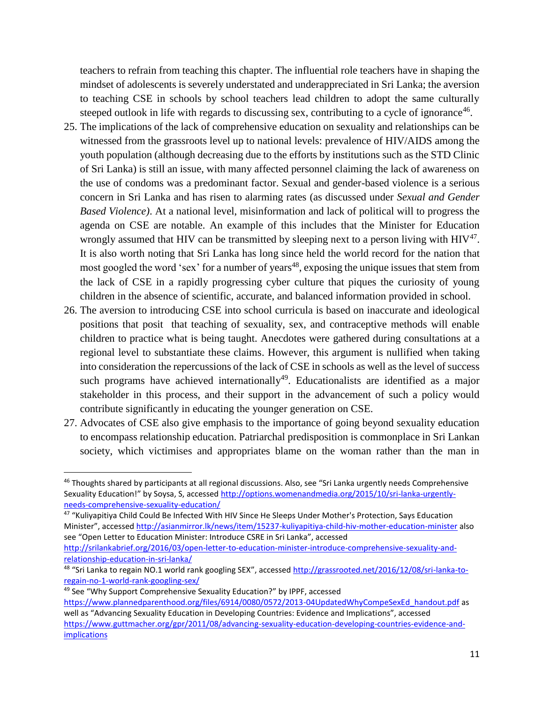teachers to refrain from teaching this chapter. The influential role teachers have in shaping the mindset of adolescents is severely understated and underappreciated in Sri Lanka; the aversion to teaching CSE in schools by school teachers lead children to adopt the same culturally steeped outlook in life with regards to discussing sex, contributing to a cycle of ignorance<sup>46</sup>.

- 25. The implications of the lack of comprehensive education on sexuality and relationships can be witnessed from the grassroots level up to national levels: prevalence of HIV/AIDS among the youth population (although decreasing due to the efforts by institutions such as the STD Clinic of Sri Lanka) is still an issue, with many affected personnel claiming the lack of awareness on the use of condoms was a predominant factor. Sexual and gender-based violence is a serious concern in Sri Lanka and has risen to alarming rates (as discussed under *Sexual and Gender Based Violence)*. At a national level, misinformation and lack of political will to progress the agenda on CSE are notable. An example of this includes that the Minister for Education wrongly assumed that HIV can be transmitted by sleeping next to a person living with  $HIV^{47}$ . It is also worth noting that Sri Lanka has long since held the world record for the nation that most googled the word 'sex' for a number of years<sup>48</sup>, exposing the unique issues that stem from the lack of CSE in a rapidly progressing cyber culture that piques the curiosity of young children in the absence of scientific, accurate, and balanced information provided in school.
- 26. The aversion to introducing CSE into school curricula is based on inaccurate and ideological positions that posit that teaching of sexuality, sex, and contraceptive methods will enable children to practice what is being taught. Anecdotes were gathered during consultations at a regional level to substantiate these claims. However, this argument is nullified when taking into consideration the repercussions of the lack of CSE in schools as well as the level of success such programs have achieved internationally<sup>49</sup>. Educationalists are identified as a major stakeholder in this process, and their support in the advancement of such a policy would contribute significantly in educating the younger generation on CSE.
- 27. Advocates of CSE also give emphasis to the importance of going beyond sexuality education to encompass relationship education. Patriarchal predisposition is commonplace in Sri Lankan society, which victimises and appropriates blame on the woman rather than the man in

[relationship-education-in-sri-lanka/](http://srilankabrief.org/2016/03/open-letter-to-education-minister-introduce-comprehensive-sexuality-and-relationship-education-in-sri-lanka/) 

<sup>&</sup>lt;sup>46</sup> Thoughts shared by participants at all regional discussions. Also, see "Sri Lanka urgently needs Comprehensive Sexuality Education!" by Soysa, S, accessed [http://options.womenandmedia.org/2015/10/sri-lanka-urgently](http://options.womenandmedia.org/2015/10/sri-lanka-urgently-needs-comprehensive-sexuality-education/)[needs-comprehensive-sexuality-education/](http://options.womenandmedia.org/2015/10/sri-lanka-urgently-needs-comprehensive-sexuality-education/)

<sup>&</sup>lt;sup>47</sup> "Kuliyapitiya Child Could Be Infected With HIV Since He Sleeps Under Mother's Protection, Says Education Minister", accessed <http://asianmirror.lk/news/item/15237-kuliyapitiya-child-hiv-mother-education-minister> also see "Open Letter to Education Minister: Introduce CSRE in Sri Lanka", accessed [http://srilankabrief.org/2016/03/open-letter-to-education-minister-introduce-comprehensive-sexuality-and-](http://srilankabrief.org/2016/03/open-letter-to-education-minister-introduce-comprehensive-sexuality-and-relationship-education-in-sri-lanka/)

<sup>&</sup>lt;sup>48</sup> "Sri Lanka to regain NO.1 world rank googling SEX", accessed [http://grassrooted.net/2016/12/08/sri-lanka-to](http://grassrooted.net/2016/12/08/sri-lanka-to-regain-no-1-world-rank-googling-sex/)[regain-no-1-world-rank-googling-sex/](http://grassrooted.net/2016/12/08/sri-lanka-to-regain-no-1-world-rank-googling-sex/)

<sup>49</sup> See "Why Support Comprehensive Sexuality Education?" by IPPF, accessed

[https://www.plannedparenthood.org/files/6914/0080/0572/2013-04UpdatedWhyCompeSexEd\\_handout.pdf](https://www.plannedparenthood.org/files/6914/0080/0572/2013-04UpdatedWhyCompeSexEd_handout.pdf) as well as "Advancing Sexuality Education in Developing Countries: Evidence and Implications", accessed [https://www.guttmacher.org/gpr/2011/08/advancing-sexuality-education-developing-countries-evidence-and](https://www.guttmacher.org/gpr/2011/08/advancing-sexuality-education-developing-countries-evidence-and-implications)[implications](https://www.guttmacher.org/gpr/2011/08/advancing-sexuality-education-developing-countries-evidence-and-implications)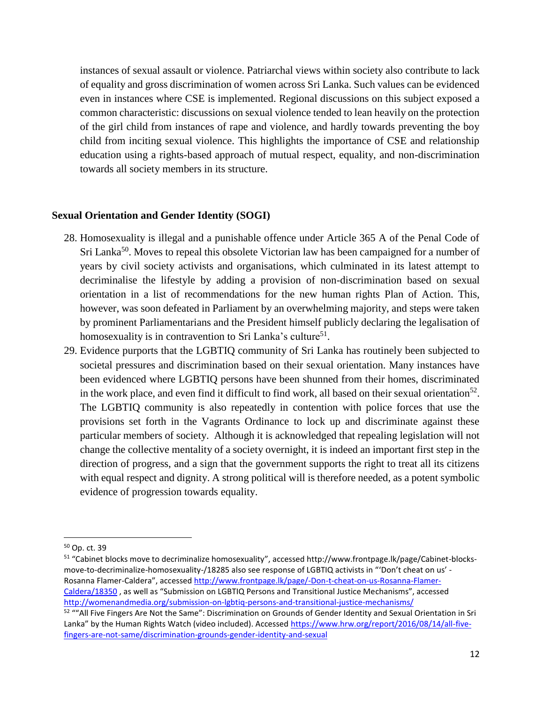instances of sexual assault or violence. Patriarchal views within society also contribute to lack of equality and gross discrimination of women across Sri Lanka. Such values can be evidenced even in instances where CSE is implemented. Regional discussions on this subject exposed a common characteristic: discussions on sexual violence tended to lean heavily on the protection of the girl child from instances of rape and violence, and hardly towards preventing the boy child from inciting sexual violence. This highlights the importance of CSE and relationship education using a rights-based approach of mutual respect, equality, and non-discrimination towards all society members in its structure.

#### **Sexual Orientation and Gender Identity (SOGI)**

- 28. Homosexuality is illegal and a punishable offence under Article 365 A of the Penal Code of Sri Lanka<sup>50</sup>. Moves to repeal this obsolete Victorian law has been campaigned for a number of years by civil society activists and organisations, which culminated in its latest attempt to decriminalise the lifestyle by adding a provision of non-discrimination based on sexual orientation in a list of recommendations for the new human rights Plan of Action. This, however, was soon defeated in Parliament by an overwhelming majority, and steps were taken by prominent Parliamentarians and the President himself publicly declaring the legalisation of homosexuality is in contravention to Sri Lanka's culture<sup>51</sup>.
- 29. Evidence purports that the LGBTIQ community of Sri Lanka has routinely been subjected to societal pressures and discrimination based on their sexual orientation. Many instances have been evidenced where LGBTIQ persons have been shunned from their homes, discriminated in the work place, and even find it difficult to find work, all based on their sexual orientation<sup>52</sup>. The LGBTIQ community is also repeatedly in contention with police forces that use the provisions set forth in the Vagrants Ordinance to lock up and discriminate against these particular members of society. Although it is acknowledged that repealing legislation will not change the collective mentality of a society overnight, it is indeed an important first step in the direction of progress, and a sign that the government supports the right to treat all its citizens with equal respect and dignity. A strong political will is therefore needed, as a potent symbolic evidence of progression towards equality.

<sup>50</sup> Op. ct. 39

<sup>&</sup>lt;sup>51</sup> "Cabinet blocks move to decriminalize homosexuality", accessed http://www.frontpage.lk/page/Cabinet-blocksmove-to-decriminalize-homosexuality-/18285 also see response of LGBTIQ activists in "'Don't cheat on us' - Rosanna Flamer-Caldera", accessed [http://www.frontpage.lk/page/-Don-t-cheat-on-us-Rosanna-Flamer-](http://www.frontpage.lk/page/-Don-t-cheat-on-us-Rosanna-Flamer-Caldera/18350)[Caldera/18350](http://www.frontpage.lk/page/-Don-t-cheat-on-us-Rosanna-Flamer-Caldera/18350) , as well as "Submission on LGBTIQ Persons and Transitional Justice Mechanisms", accessed <http://womenandmedia.org/submission-on-lgbtiq-persons-and-transitional-justice-mechanisms/>

<sup>&</sup>lt;sup>52</sup> ""All Five Fingers Are Not the Same": Discrimination on Grounds of Gender Identity and Sexual Orientation in Sri Lanka" by the Human Rights Watch (video included). Accessed [https://www.hrw.org/report/2016/08/14/all-five](https://www.hrw.org/report/2016/08/14/all-five-fingers-are-not-same/discrimination-grounds-gender-identity-and-sexual)[fingers-are-not-same/discrimination-grounds-gender-identity-and-sexual](https://www.hrw.org/report/2016/08/14/all-five-fingers-are-not-same/discrimination-grounds-gender-identity-and-sexual)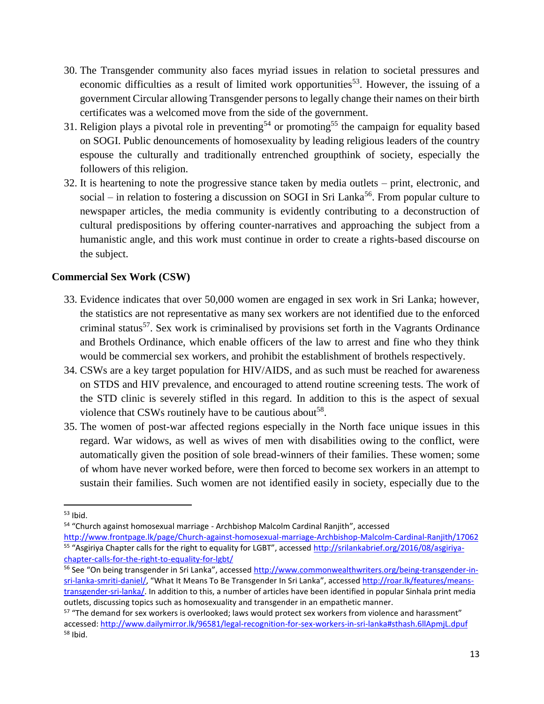- 30. The Transgender community also faces myriad issues in relation to societal pressures and economic difficulties as a result of limited work opportunities<sup>53</sup>. However, the issuing of a government Circular allowing Transgender persons to legally change their names on their birth certificates was a welcomed move from the side of the government.
- 31. Religion plays a pivotal role in preventing<sup>54</sup> or promoting<sup>55</sup> the campaign for equality based on SOGI. Public denouncements of homosexuality by leading religious leaders of the country espouse the culturally and traditionally entrenched groupthink of society, especially the followers of this religion.
- 32. It is heartening to note the progressive stance taken by media outlets print, electronic, and social – in relation to fostering a discussion on SOGI in Sri Lanka<sup>56</sup>. From popular culture to newspaper articles, the media community is evidently contributing to a deconstruction of cultural predispositions by offering counter-narratives and approaching the subject from a humanistic angle, and this work must continue in order to create a rights-based discourse on the subject.

## **Commercial Sex Work (CSW)**

- 33. Evidence indicates that over 50,000 women are engaged in sex work in Sri Lanka; however, the statistics are not representative as many sex workers are not identified due to the enforced criminal status<sup>57</sup>. Sex work is criminalised by provisions set forth in the Vagrants Ordinance and Brothels Ordinance, which enable officers of the law to arrest and fine who they think would be commercial sex workers, and prohibit the establishment of brothels respectively.
- 34. CSWs are a key target population for HIV/AIDS, and as such must be reached for awareness on STDS and HIV prevalence, and encouraged to attend routine screening tests. The work of the STD clinic is severely stifled in this regard. In addition to this is the aspect of sexual violence that CSWs routinely have to be cautious about<sup>58</sup>.
- 35. The women of post-war affected regions especially in the North face unique issues in this regard. War widows, as well as wives of men with disabilities owing to the conflict, were automatically given the position of sole bread-winners of their families. These women; some of whom have never worked before, were then forced to become sex workers in an attempt to sustain their families. Such women are not identified easily in society, especially due to the

 $53$  Ibid.

<sup>&</sup>lt;sup>54</sup> "Church against homosexual marriage - Archbishop Malcolm Cardinal Ranjith", accessed <http://www.frontpage.lk/page/Church-against-homosexual-marriage-Archbishop-Malcolm-Cardinal-Ranjith/17062>

<sup>&</sup>lt;sup>55</sup> "Asgiriya Chapter calls for the right to equality for LGBT", accessed [http://srilankabrief.org/2016/08/asgiriya](http://srilankabrief.org/2016/08/asgiriya-chapter-calls-for-the-right-to-equality-for-lgbt/)[chapter-calls-for-the-right-to-equality-for-lgbt/](http://srilankabrief.org/2016/08/asgiriya-chapter-calls-for-the-right-to-equality-for-lgbt/)

<sup>56</sup> See "On being transgender in Sri Lanka", accessed [http://www.commonwealthwriters.org/being-transgender-in](http://www.commonwealthwriters.org/being-transgender-in-sri-lanka-smriti-daniel/)[sri-lanka-smriti-daniel/](http://www.commonwealthwriters.org/being-transgender-in-sri-lanka-smriti-daniel/), "What It Means To Be Transgender In Sri Lanka", accessed [http://roar.lk/features/means](http://roar.lk/features/means-transgender-sri-lanka/)[transgender-sri-lanka/.](http://roar.lk/features/means-transgender-sri-lanka/) In addition to this, a number of articles have been identified in popular Sinhala print media outlets, discussing topics such as homosexuality and transgender in an empathetic manner.

 $57$  "The demand for sex workers is overlooked; laws would protect sex workers from violence and harassment" accessed:<http://www.dailymirror.lk/96581/legal-recognition-for-sex-workers-in-sri-lanka#sthash.6llApmjL.dpuf> <sup>58</sup> Ibid.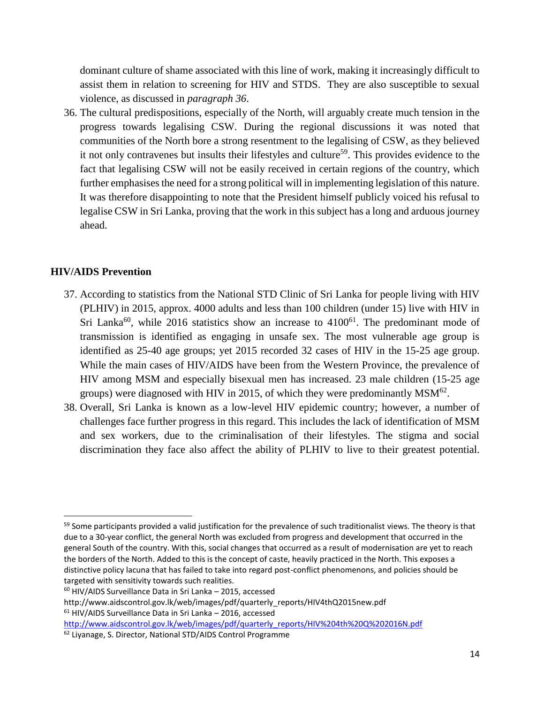dominant culture of shame associated with this line of work, making it increasingly difficult to assist them in relation to screening for HIV and STDS. They are also susceptible to sexual violence, as discussed in *paragraph 36*.

36. The cultural predispositions, especially of the North, will arguably create much tension in the progress towards legalising CSW. During the regional discussions it was noted that communities of the North bore a strong resentment to the legalising of CSW, as they believed it not only contravenes but insults their lifestyles and culture<sup>59</sup>. This provides evidence to the fact that legalising CSW will not be easily received in certain regions of the country, which further emphasises the need for a strong political will in implementing legislation of this nature. It was therefore disappointing to note that the President himself publicly voiced his refusal to legalise CSW in Sri Lanka, proving that the work in this subject has a long and arduous journey ahead.

### **HIV/AIDS Prevention**

- 37. According to statistics from the National STD Clinic of Sri Lanka for people living with HIV (PLHIV) in 2015, approx. 4000 adults and less than 100 children (under 15) live with HIV in Sri Lanka<sup>60</sup>, while 2016 statistics show an increase to  $4100<sup>61</sup>$ . The predominant mode of transmission is identified as engaging in unsafe sex. The most vulnerable age group is identified as 25-40 age groups; yet 2015 recorded 32 cases of HIV in the 15-25 age group. While the main cases of HIV/AIDS have been from the Western Province, the prevalence of HIV among MSM and especially bisexual men has increased. 23 male children (15-25 age groups) were diagnosed with HIV in 2015, of which they were predominantly  $MSM^{62}$ .
- 38. Overall, Sri Lanka is known as a low-level HIV epidemic country; however, a number of challenges face further progress in this regard. This includes the lack of identification of MSM and sex workers, due to the criminalisation of their lifestyles. The stigma and social discrimination they face also affect the ability of PLHIV to live to their greatest potential.

 $59$  Some participants provided a valid justification for the prevalence of such traditionalist views. The theory is that due to a 30-year conflict, the general North was excluded from progress and development that occurred in the general South of the country. With this, social changes that occurred as a result of modernisation are yet to reach the borders of the North. Added to this is the concept of caste, heavily practiced in the North. This exposes a distinctive policy lacuna that has failed to take into regard post-conflict phenomenons, and policies should be targeted with sensitivity towards such realities.

<sup>60</sup> HIV/AIDS Surveillance Data in Sri Lanka – 2015, accessed

http://www.aidscontrol.gov.lk/web/images/pdf/quarterly\_reports/HIV4thQ2015new.pdf <sup>61</sup> HIV/AIDS Surveillance Data in Sri Lanka – 2016, accessed

[http://www.aidscontrol.gov.lk/web/images/pdf/quarterly\\_reports/HIV%204th%20Q%202016N.pdf](http://www.aidscontrol.gov.lk/web/images/pdf/quarterly_reports/HIV%204th%20Q%202016N.pdf)

<sup>62</sup> Liyanage, S. Director, National STD/AIDS Control Programme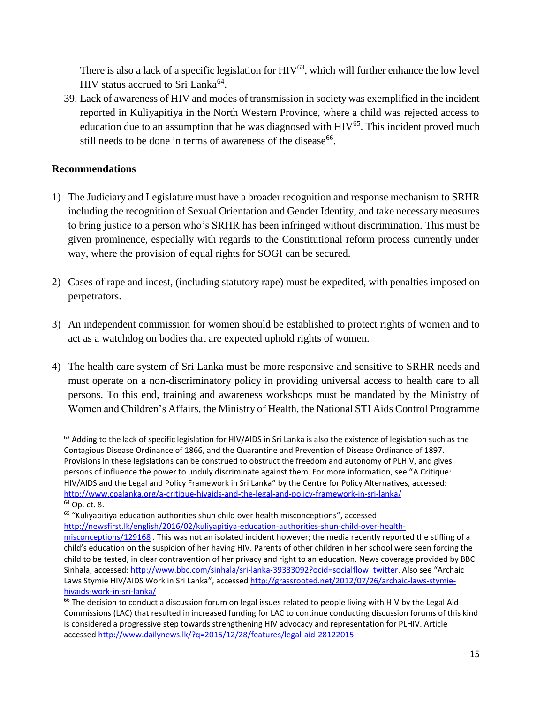There is also a lack of a specific legislation for  $HIV^{63}$ , which will further enhance the low level HIV status accrued to Sri Lanka<sup>64</sup>.

39. Lack of awareness of HIV and modes of transmission in society was exemplified in the incident reported in Kuliyapitiya in the North Western Province, where a child was rejected access to education due to an assumption that he was diagnosed with  $HIV^{65}$ . This incident proved much still needs to be done in terms of awareness of the disease<sup>66</sup>.

# **Recommendations**

- 1) The Judiciary and Legislature must have a broader recognition and response mechanism to SRHR including the recognition of Sexual Orientation and Gender Identity, and take necessary measures to bring justice to a person who's SRHR has been infringed without discrimination. This must be given prominence, especially with regards to the Constitutional reform process currently under way, where the provision of equal rights for SOGI can be secured.
- 2) Cases of rape and incest, (including statutory rape) must be expedited, with penalties imposed on perpetrators.
- 3) An independent commission for women should be established to protect rights of women and to act as a watchdog on bodies that are expected uphold rights of women.
- 4) The health care system of Sri Lanka must be more responsive and sensitive to SRHR needs and must operate on a non-discriminatory policy in providing universal access to health care to all persons. To this end, training and awareness workshops must be mandated by the Ministry of Women and Children's Affairs, the Ministry of Health, the National STI Aids Control Programme

<sup>63</sup> Adding to the lack of specific legislation for HIV/AIDS in Sri Lanka is also the existence of legislation such as the Contagious Disease Ordinance of 1866, and the Quarantine and Prevention of Disease Ordinance of 1897. Provisions in these legislations can be construed to obstruct the freedom and autonomy of PLHIV, and gives persons of influence the power to unduly discriminate against them. For more information, see "A Critique: HIV/AIDS and the Legal and Policy Framework in Sri Lanka" by the Centre for Policy Alternatives, accessed: <http://www.cpalanka.org/a-critique-hivaids-and-the-legal-and-policy-framework-in-sri-lanka/> <sup>64</sup> Op. ct. 8.

<sup>&</sup>lt;sup>65</sup> "Kuliyapitiya education authorities shun child over health misconceptions", accessed [http://newsfirst.lk/english/2016/02/kuliyapitiya-education-authorities-shun-child-over-health-](http://newsfirst.lk/english/2016/02/kuliyapitiya-education-authorities-shun-child-over-health-misconceptions/129168)

[misconceptions/129168](http://newsfirst.lk/english/2016/02/kuliyapitiya-education-authorities-shun-child-over-health-misconceptions/129168) . This was not an isolated incident however; the media recently reported the stifling of a child's education on the suspicion of her having HIV. Parents of other children in her school were seen forcing the child to be tested, in clear contravention of her privacy and right to an education. News coverage provided by BBC Sinhala, accessed: [http://www.bbc.com/sinhala/sri-lanka-39333092?ocid=socialflow\\_twitter](http://www.bbc.com/sinhala/sri-lanka-39333092?ocid=socialflow_twitter). Also see "Archaic Laws Stymie HIV/AIDS Work in Sri Lanka", accessed [http://grassrooted.net/2012/07/26/archaic-laws-stymie](http://grassrooted.net/2012/07/26/archaic-laws-stymie-hivaids-work-in-sri-lanka/)[hivaids-work-in-sri-lanka/](http://grassrooted.net/2012/07/26/archaic-laws-stymie-hivaids-work-in-sri-lanka/)

 $66$  The decision to conduct a discussion forum on legal issues related to people living with HIV by the Legal Aid Commissions (LAC) that resulted in increased funding for LAC to continue conducting discussion forums of this kind is considered a progressive step towards strengthening HIV advocacy and representation for PLHIV. Article accesse[d http://www.dailynews.lk/?q=2015/12/28/features/legal-aid-28122015](http://www.dailynews.lk/?q=2015/12/28/features/legal-aid-28122015)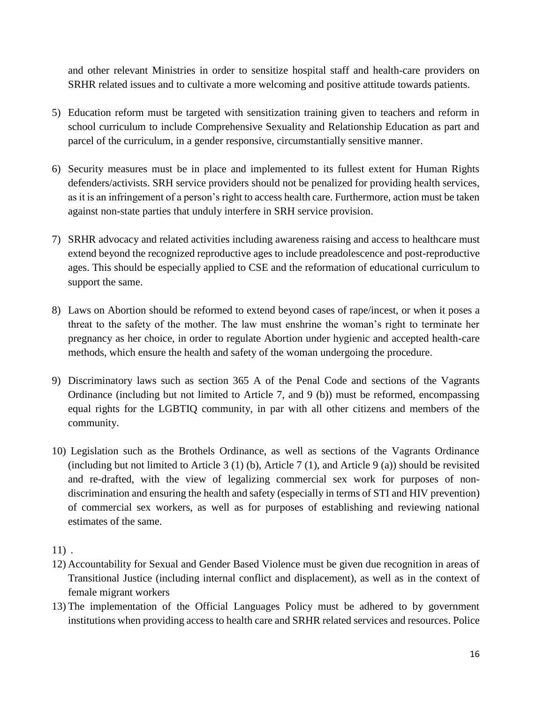and other relevant Ministries in order to sensitize hospital staff and health-care providers on SRHR related issues and to cultivate a more welcoming and positive attitude towards patients.

- 5) Education reform must be targeted with sensitization training given to teachers and reform in school curriculum to include Comprehensive Sexuality and Relationship Education as part and parcel of the curriculum, in a gender responsive, circumstantially sensitive manner.
- 6) Security measures must be in place and implemented to its fullest extent for Human Rights defenders/activists. SRH service providers should not be penalized for providing health services, as it is an infringement of a person's right to access health care. Furthermore, action must be taken against non-state parties that unduly interfere in SRH service provision.
- 7) SRHR advocacy and related activities including awareness raising and access to healthcare must extend beyond the recognized reproductive ages to include preadolescence and post-reproductive ages. This should be especially applied to CSE and the reformation of educational curriculum to support the same.
- 8) Laws on Abortion should be reformed to extend beyond cases of rape/incest, or when it poses a threat to the safety of the mother. The law must enshrine the woman's right to terminate her pregnancy as her choice, in order to regulate Abortion under hygienic and accepted health-care methods, which ensure the health and safety of the woman undergoing the procedure.
- 9) Discriminatory laws such as section 365 A of the Penal Code and sections of the Vagrants Ordinance (including but not limited to Article 7, and 9 (b)) must be reformed, encompassing equal rights for the LGBTIQ community, in par with all other citizens and members of the community.
- 10) Legislation such as the Brothels Ordinance, as well as sections of the Vagrants Ordinance (including but not limited to Article 3 (1) (b), Article 7 (1), and Article 9 (a)) should be revisited and re-drafted, with the view of legalizing commercial sex work for purposes of nondiscrimination and ensuring the health and safety (especially in terms of STI and HIV prevention) of commercial sex workers, as well as for purposes of establishing and reviewing national estimates of the same.

11) .

- 12) Accountability for Sexual and Gender Based Violence must be given due recognition in areas of Transitional Justice (including internal conflict and displacement), as well as in the context of female migrant workers
- 13) The implementation of the Official Languages Policy must be adhered to by government institutions when providing access to health care and SRHR related services and resources. Police